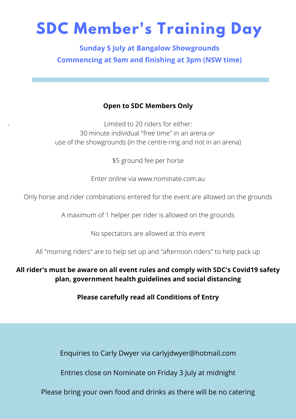## **SDC Member's Training Day**

**Sunday 5 July at Bangalow Showgrounds Commencing at 9am and finishing at 3pm (NSW time)**

## **Open to SDC Members Only**

Limited to 20 riders for either: 30 minute individual "free time" in an arena *or* use of the showgrounds (in the centre-ring and not in an arena)

-

\$5 ground fee per horse

Enter online via www.nominate.com.au

Only horse and rider combinations entered for the event are allowed on the grounds

A maximum of 1 helper per rider is allowed on the grounds

No spectators are allowed at this event

All "morning riders" are to help set up and "afternoon riders" to help pack up

**All rider's must be aware on all event rules and comply with SDC's Covid19 safety plan, government health guidelines and social distancing**

**Please carefully read all Conditions of Entry**

Enquiries to Carly Dwyer via carlyjdwyer@hotmail.com

Entries close on Nominate on Friday 3 July at midnight

Please bring your own food and drinks as there will be no catering